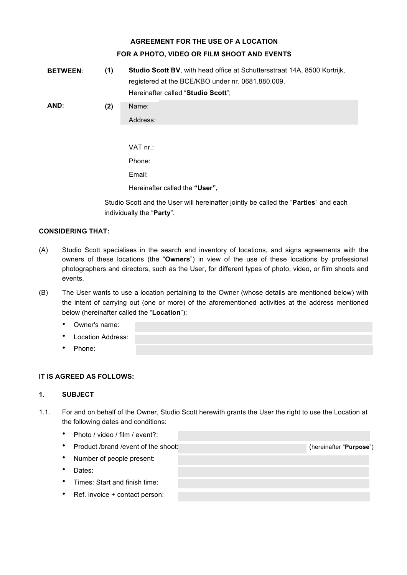# **AGREEMENT FOR THE USE OF A LOCATION FOR A PHOTO, VIDEO OR FILM SHOOT AND EVENTS**

| <b>BETWEEN:</b> | (1) | <b>Studio Scott BV</b> , with head office at Schuttersstraat 14A, 8500 Kortrijk, |
|-----------------|-----|----------------------------------------------------------------------------------|
|                 |     | registered at the BCE/KBO under nr. 0681.880.009.                                |
|                 |     | Hereinafter called "Studio Scott";                                               |
| AND:            | (2) | Name:                                                                            |

Address:

VAT nr.: Phone: Email:

Hereinafter called the **"User",**

Studio Scott and the User will hereinafter jointly be called the "**Parties**" and each individually the "**Party**".

# **CONSIDERING THAT:**

(A) Studio Scott specialises in the search and inventory of locations, and signs agreements with the owners of these locations (the "**Owners**") in view of the use of these locations by professional photographers and directors, such as the User, for different types of photo, video, or film shoots and events.

(B) The User wants to use a location pertaining to the Owner (whose details are mentioned below) with the intent of carrying out (one or more) of the aforementioned activities at the address mentioned below (hereinafter called the "**Location**"):

- Owner's name:
- Location Address:
- Phone:

# **IT IS AGREED AS FOLLOWS:**

# **1. SUBJECT**

- 1.1. For and on behalf of the Owner, Studio Scott herewith grants the User the right to use the Location at the following dates and conditions:
	- Photo / video / film / event?:
	- Product /brand /event of the shoot: (hereinafter "**Purpose**")
	- Number of people present:
	- Dates:
	- Times: Start and finish time:
	- Ref. invoice + contact person: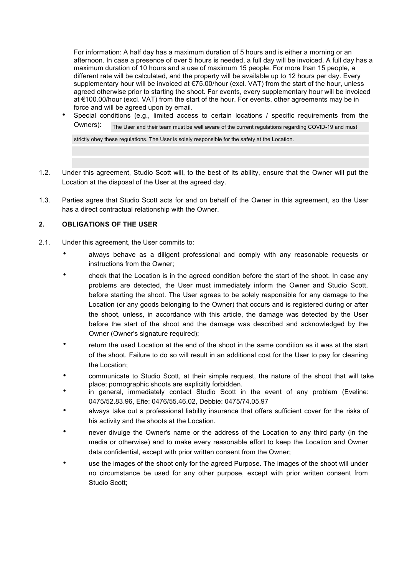For information: A half day has a maximum duration of 5 hours and is either a morning or an afternoon. In case a presence of over 5 hours is needed, a full day will be invoiced. A full day has a maximum duration of 10 hours and a use of maximum 15 people. For more than 15 people, a different rate will be calculated, and the property will be available up to 12 hours per day. Every supplementary hour will be invoiced at €75.00/hour (excl. VAT) from the start of the hour, unless agreed otherwise prior to starting the shoot. For events, every supplementary hour will be invoiced at €100.00/hour (excl. VAT) from the start of the hour. For events, other agreements may be in force and will be agreed upon by email.

Special conditions (e.g., limited access to certain locations / specific requirements from the Owners): The User and their team must be well aware of the current regulations regarding COVID-19 and must

strictly obey these regulations. The User is solely responsible for the safety at the Location.

- 1.2. Under this agreement, Studio Scott will, to the best of its ability, ensure that the Owner will put the Location at the disposal of the User at the agreed day.
- 1.3. Parties agree that Studio Scott acts for and on behalf of the Owner in this agreement, so the User has a direct contractual relationship with the Owner.

## **2. OBLIGATIONS OF THE USER**

- 2.1. Under this agreement, the User commits to:
	- always behave as a diligent professional and comply with any reasonable requests or instructions from the Owner;
	- check that the Location is in the agreed condition before the start of the shoot. In case any problems are detected, the User must immediately inform the Owner and Studio Scott, before starting the shoot. The User agrees to be solely responsible for any damage to the Location (or any goods belonging to the Owner) that occurs and is registered during or after the shoot, unless, in accordance with this article, the damage was detected by the User before the start of the shoot and the damage was described and acknowledged by the Owner (Owner's signature required);
	- return the used Location at the end of the shoot in the same condition as it was at the start of the shoot. Failure to do so will result in an additional cost for the User to pay for cleaning the Location;
	- communicate to Studio Scott, at their simple request, the nature of the shoot that will take place; pornographic shoots are explicitly forbidden.
	- in general, immediately contact Studio Scott in the event of any problem (Eveline: 0475/52.83.96, Efie: 0476/55.46.02, Debbie: 0475/74.05.97
	- always take out a professional liability insurance that offers sufficient cover for the risks of his activity and the shoots at the Location.
	- never divulge the Owner's name or the address of the Location to any third party (in the media or otherwise) and to make every reasonable effort to keep the Location and Owner data confidential, except with prior written consent from the Owner;
	- use the images of the shoot only for the agreed Purpose. The images of the shoot will under no circumstance be used for any other purpose, except with prior written consent from Studio Scott;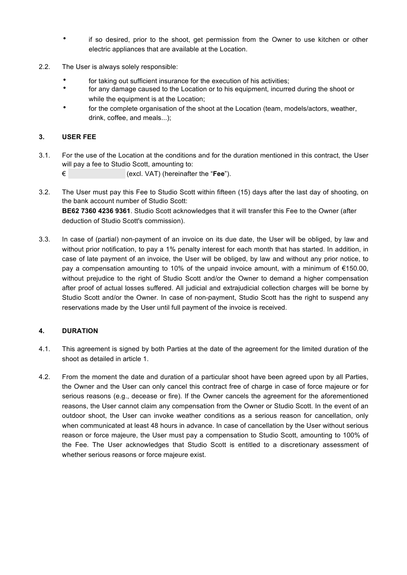- if so desired, prior to the shoot, get permission from the Owner to use kitchen or other electric appliances that are available at the Location.
- 2.2. The User is always solely responsible:
	- for taking out sufficient insurance for the execution of his activities;
	- for any damage caused to the Location or to his equipment, incurred during the shoot or while the equipment is at the Location;
	- for the complete organisation of the shoot at the Location (team, models/actors, weather, drink, coffee, and meals...);

## **3. USER FEE**

- 3.1. For the use of the Location at the conditions and for the duration mentioned in this contract, the User will pay a fee to Studio Scott, amounting to:
	- € (excl. VAT) (hereinafter the "**Fee**").
- 3.2. The User must pay this Fee to Studio Scott within fifteen (15) days after the last day of shooting, on the bank account number of Studio Scott: **BE62 7360 4236 9361**. Studio Scott acknowledges that it will transfer this Fee to the Owner (after deduction of Studio Scott's commission).
- 3.3. In case of (partial) non-payment of an invoice on its due date, the User will be obliged, by law and without prior notification, to pay a 1% penalty interest for each month that has started. In addition, in case of late payment of an invoice, the User will be obliged, by law and without any prior notice, to pay a compensation amounting to 10% of the unpaid invoice amount, with a minimum of €150.00, without prejudice to the right of Studio Scott and/or the Owner to demand a higher compensation after proof of actual losses suffered. All judicial and extrajudicial collection charges will be borne by Studio Scott and/or the Owner. In case of non-payment, Studio Scott has the right to suspend any reservations made by the User until full payment of the invoice is received.

### **4. DURATION**

- 4.1. This agreement is signed by both Parties at the date of the agreement for the limited duration of the shoot as detailed in article 1.
- 4.2. From the moment the date and duration of a particular shoot have been agreed upon by all Parties, the Owner and the User can only cancel this contract free of charge in case of force majeure or for serious reasons (e.g., decease or fire). If the Owner cancels the agreement for the aforementioned reasons, the User cannot claim any compensation from the Owner or Studio Scott. In the event of an outdoor shoot, the User can invoke weather conditions as a serious reason for cancellation, only when communicated at least 48 hours in advance. In case of cancellation by the User without serious reason or force majeure, the User must pay a compensation to Studio Scott, amounting to 100% of the Fee. The User acknowledges that Studio Scott is entitled to a discretionary assessment of whether serious reasons or force majeure exist.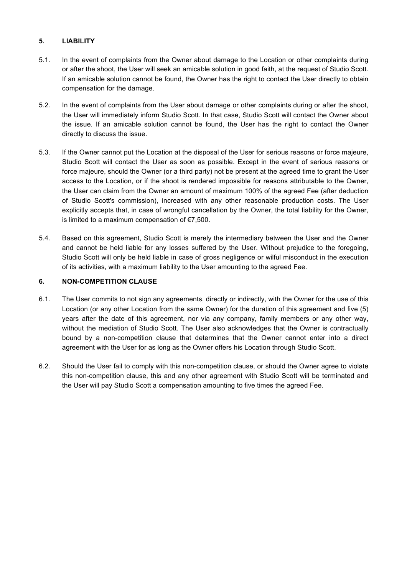# **5. LIABILITY**

- 5.1. In the event of complaints from the Owner about damage to the Location or other complaints during or after the shoot, the User will seek an amicable solution in good faith, at the request of Studio Scott. If an amicable solution cannot be found, the Owner has the right to contact the User directly to obtain compensation for the damage.
- 5.2. In the event of complaints from the User about damage or other complaints during or after the shoot, the User will immediately inform Studio Scott. In that case, Studio Scott will contact the Owner about the issue. If an amicable solution cannot be found, the User has the right to contact the Owner directly to discuss the issue.
- 5.3. If the Owner cannot put the Location at the disposal of the User for serious reasons or force majeure, Studio Scott will contact the User as soon as possible. Except in the event of serious reasons or force majeure, should the Owner (or a third party) not be present at the agreed time to grant the User access to the Location, or if the shoot is rendered impossible for reasons attributable to the Owner, the User can claim from the Owner an amount of maximum 100% of the agreed Fee (after deduction of Studio Scott's commission), increased with any other reasonable production costs. The User explicitly accepts that, in case of wrongful cancellation by the Owner, the total liability for the Owner, is limited to a maximum compensation of €7,500.
- 5.4. Based on this agreement, Studio Scott is merely the intermediary between the User and the Owner and cannot be held liable for any losses suffered by the User. Without prejudice to the foregoing, Studio Scott will only be held liable in case of gross negligence or wilful misconduct in the execution of its activities, with a maximum liability to the User amounting to the agreed Fee.

## **6. NON-COMPETITION CLAUSE**

- 6.1. The User commits to not sign any agreements, directly or indirectly, with the Owner for the use of this Location (or any other Location from the same Owner) for the duration of this agreement and five (5) years after the date of this agreement, nor via any company, family members or any other way, without the mediation of Studio Scott. The User also acknowledges that the Owner is contractually bound by a non-competition clause that determines that the Owner cannot enter into a direct agreement with the User for as long as the Owner offers his Location through Studio Scott.
- 6.2. Should the User fail to comply with this non-competition clause, or should the Owner agree to violate this non-competition clause, this and any other agreement with Studio Scott will be terminated and the User will pay Studio Scott a compensation amounting to five times the agreed Fee.